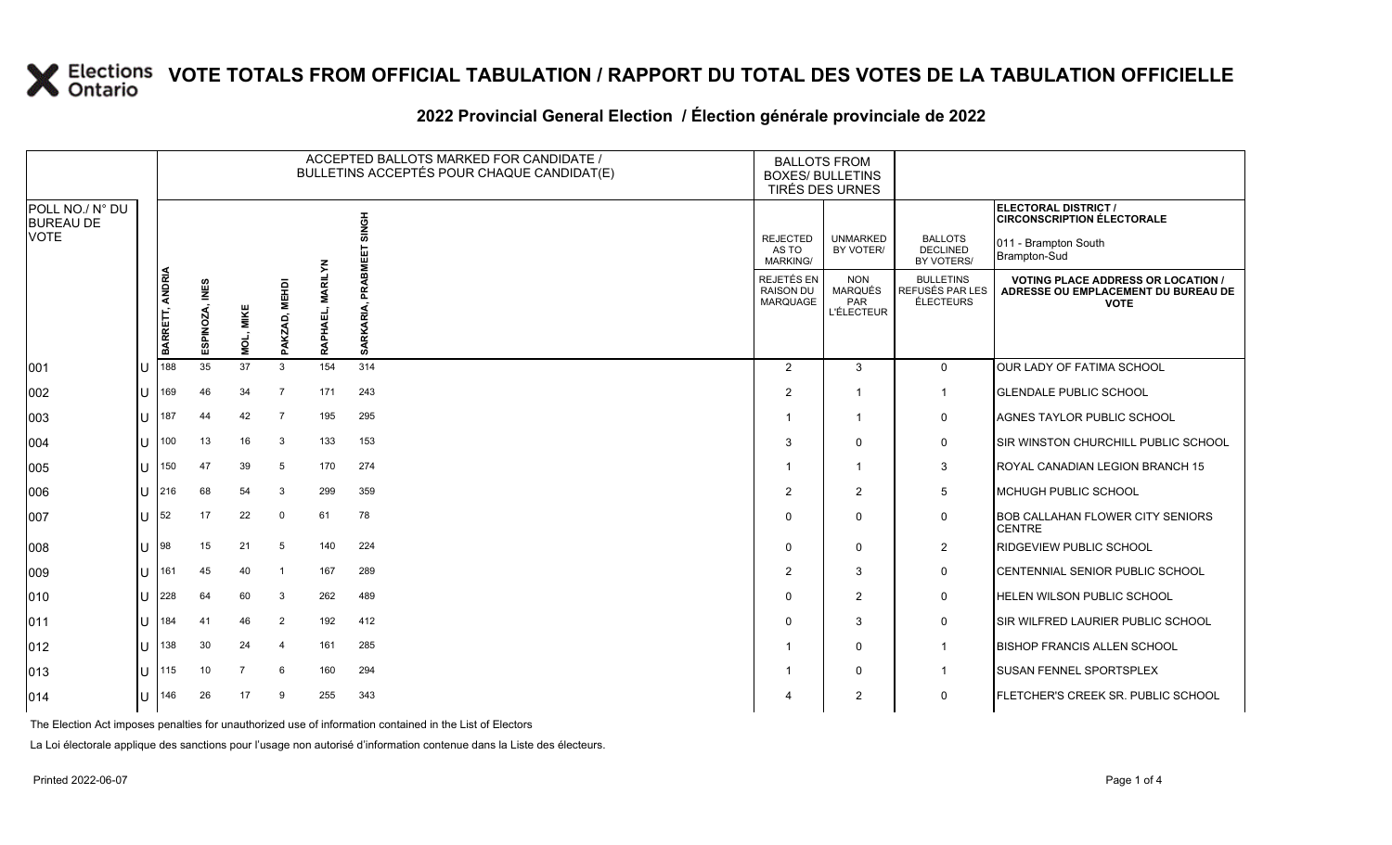### **VOTE TOTALS FROM OFFICIAL TABULATION / RAPPORT DU TOTAL DES VOTES DE LA TABULATION OFFICIELLE**

#### 2022 Provincial General Election / Election générale provinciale de 2022

|                                     |    |                 |                |                |                         | ACCEPTED BALLOTS MARKED FOR CANDIDATE /<br>BULLETINS ACCEPTÉS POUR CHAQUE CANDIDAT(E) | <b>BALLOTS FROM</b><br><b>BOXES/ BULLETINS</b><br>TIRÉS DES URNES |                                                   |                                                                 |                                                  |                                                                                                 |
|-------------------------------------|----|-----------------|----------------|----------------|-------------------------|---------------------------------------------------------------------------------------|-------------------------------------------------------------------|---------------------------------------------------|-----------------------------------------------------------------|--------------------------------------------------|-------------------------------------------------------------------------------------------------|
| POLL NO./ N° DU<br><b>BUREAU DE</b> |    |                 |                |                |                         |                                                                                       | <b>HONIS</b>                                                      |                                                   |                                                                 |                                                  | ELECTORAL DISTRICT /<br><b>CIRCONSCRIPTION ÉLECTORALE</b>                                       |
| <b>VOTE</b>                         |    |                 |                |                |                         |                                                                                       | 핗                                                                 | <b>REJECTED</b><br>AS TO<br>MARKING/              | <b>UNMARKED</b><br>BY VOTER/                                    | <b>BALLOTS</b><br><b>DECLINED</b><br>BY VOTERS/  | 011 - Brampton South<br>Brampton-Sud                                                            |
|                                     |    | BARRETT, ANDRIA | ESPINOZA, INES | MOL, MIKE      | <b>MEHDI</b><br>PAKZAD, | <b>MARILYN</b><br>필<br><b>RAP</b>                                                     | PRABI<br>SARKARIA,                                                | REJETÉS EN<br><b>RAISON DU</b><br><b>MARQUAGE</b> | <b>NON</b><br><b>MARQUÉS</b><br><b>PAR</b><br><b>L'ÉLECTEUR</b> | <b>BULLETINS</b><br>REFUSÉS PAR LES<br>ÉLECTEURS | <b>VOTING PLACE ADDRESS OR LOCATION /</b><br>ADRESSE OU EMPLACEMENT DU BUREAU DE<br><b>VOTE</b> |
| 001                                 | IU | 188             | 35             | 37             | 3                       | 154                                                                                   | 314                                                               | 2                                                 | 3                                                               | $\overline{0}$                                   | OUR LADY OF FATIMA SCHOOL                                                                       |
| 002                                 | U  | 169             | 46             | 34             | $\overline{7}$          | 171                                                                                   | 243                                                               | 2                                                 |                                                                 | $\mathbf{1}$                                     | <b>GLENDALE PUBLIC SCHOOL</b>                                                                   |
| 003                                 | lu | 187             | 44             | 42             | $\overline{7}$          | 195                                                                                   | 295                                                               |                                                   | 1                                                               | 0                                                | AGNES TAYLOR PUBLIC SCHOOL                                                                      |
| 004                                 | ΙU | 100             | 13             | 16             | -3                      | 133                                                                                   | 153                                                               | 3                                                 | $\Omega$                                                        | $\mathbf 0$                                      | SIR WINSTON CHURCHILL PUBLIC SCHOOL                                                             |
| 005                                 | lu | 150             | 47             | 39             | 5                       | 170                                                                                   | 274                                                               | $\overline{\mathbf{1}}$                           | $\mathbf{1}$                                                    | 3                                                | ROYAL CANADIAN LEGION BRANCH 15                                                                 |
| 006                                 | Ш  | 216             | 68             | 54             | 3                       | 299                                                                                   | 359                                                               | $\overline{2}$                                    | $\overline{2}$                                                  | $5\overline{)}$                                  | MCHUGH PUBLIC SCHOOL                                                                            |
| 007                                 | lU | 52              | 17             | 22             | 0                       | 61                                                                                    | 78                                                                | $\Omega$                                          | $\Omega$                                                        | $\mathsf{O}$                                     | <b>BOB CALLAHAN FLOWER CITY SENIORS</b><br><b>CENTRE</b>                                        |
| 008                                 | lU | 98              | 15             | 21             | 5                       | 140                                                                                   | 224                                                               | $\mathbf 0$                                       | $\Omega$                                                        | $\overline{2}$                                   | RIDGEVIEW PUBLIC SCHOOL                                                                         |
| 009                                 | ΙU | 161             | 45             | 40             | - 1                     | 167                                                                                   | 289                                                               | $\overline{2}$                                    | 3                                                               | $\mathsf{O}$                                     | CENTENNIAL SENIOR PUBLIC SCHOOL                                                                 |
| 010                                 | lU | 228             | 64             | 60             | -3                      | 262                                                                                   | 489                                                               | $\Omega$                                          | $\overline{2}$                                                  | $\mathbf 0$                                      | HELEN WILSON PUBLIC SCHOOL                                                                      |
| $ 011\rangle$                       | ΙU | 184             | 41             | 46             | 2                       | 192                                                                                   | 412                                                               | $\mathbf 0$                                       | 3                                                               | $\mathbf 0$                                      | SIR WILFRED LAURIER PUBLIC SCHOOL                                                               |
| $ 012\rangle$                       | Ш  | 138             | 30             | 24             | $\overline{4}$          | 161                                                                                   | 285                                                               |                                                   | $\Omega$                                                        | $\mathbf 1$                                      | <b>BISHOP FRANCIS ALLEN SCHOOL</b>                                                              |
| $ 013\rangle$                       | ΙU | 115             | 10             | $\overline{7}$ | 6                       | 160                                                                                   | 294                                                               |                                                   | $\Omega$                                                        | $\mathbf 1$                                      | SUSAN FENNEL SPORTSPLEX                                                                         |
| $ 014\rangle$                       | lU | 146             | 26             | 17             | 9                       | 255                                                                                   | 343                                                               |                                                   | $\overline{2}$                                                  | $\mathbf 0$                                      | FLETCHER'S CREEK SR. PUBLIC SCHOOL                                                              |

The Election Act imposes penalties for unauthorized use of information contained in the List of Electors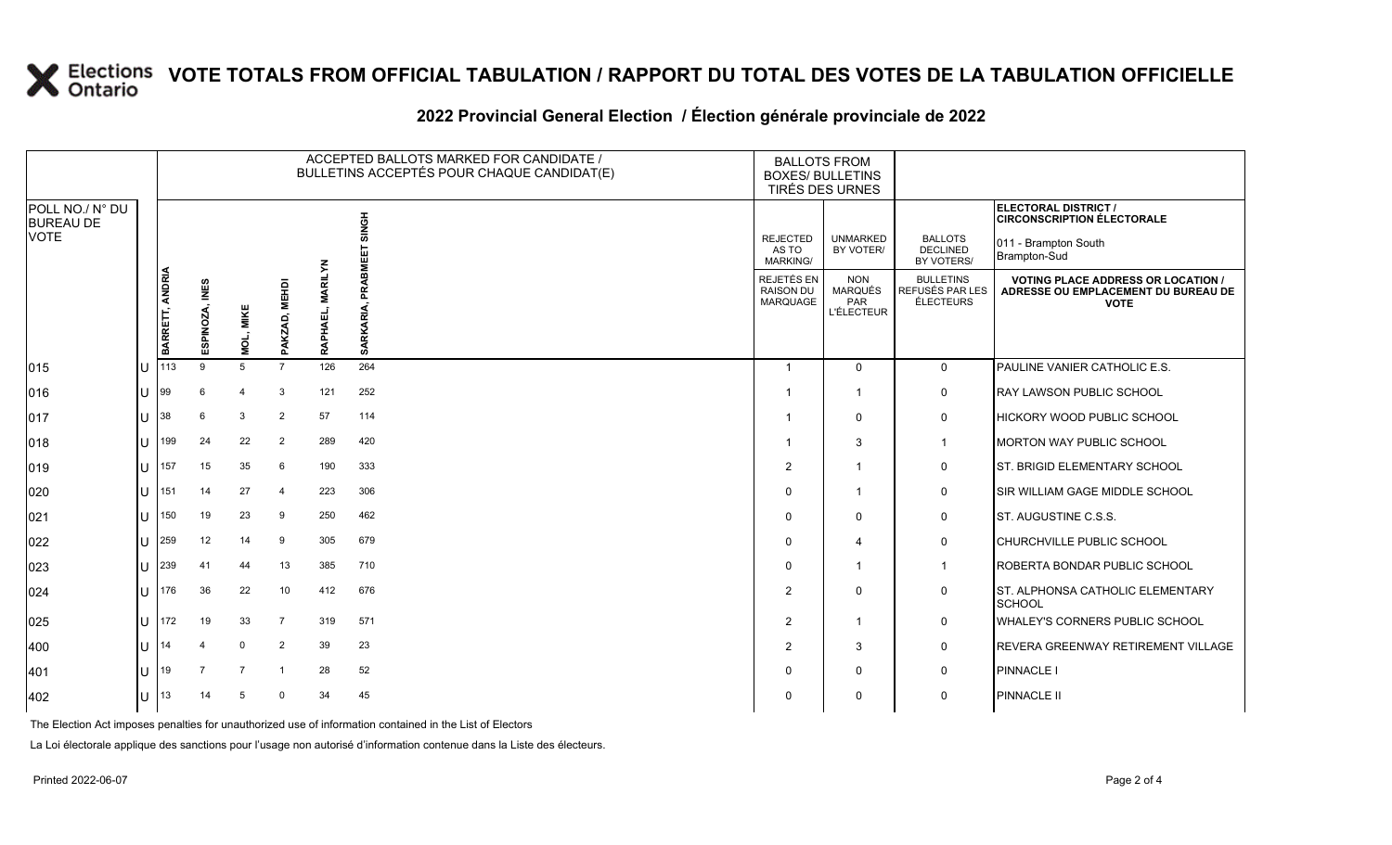# **X** Elections VOTE TOTALS FROM OFFICIAL TABULATION / RAPPORT DU TOTAL DES VOTES DE LA TABULATION OFFICIELLE

### **2022 Provincial General Election / Élection générale provinciale de 2022**

|                                     |                 |                          |                |                        |                            | ACCEPTED BALLOTS MARKED FOR CANDIDATE /<br>BULLETINS ACCEPTÉS POUR CHAQUE CANDIDAT(E) | <b>BALLOTS FROM</b><br><b>BOXES/ BULLETINS</b><br>TIRÉS DES URNES |                                                          |                                                         |                                                                                                 |
|-------------------------------------|-----------------|--------------------------|----------------|------------------------|----------------------------|---------------------------------------------------------------------------------------|-------------------------------------------------------------------|----------------------------------------------------------|---------------------------------------------------------|-------------------------------------------------------------------------------------------------|
| POLL NO./ N° DU<br><b>BUREAU DE</b> |                 |                          |                |                        |                            | SINGH                                                                                 |                                                                   |                                                          |                                                         | ELECTORAL DISTRICT /<br><b>CIRCONSCRIPTION ÉLECTORALE</b>                                       |
| VOTE                                |                 |                          |                |                        |                            |                                                                                       | <b>REJECTED</b><br>AS TO<br><b>MARKING/</b>                       | <b>UNMARKED</b><br>BY VOTER/                             | <b>BALLOTS</b><br>DECLINED<br>BY VOTERS/                | 011 - Brampton South<br>Brampton-Sud                                                            |
|                                     | BARRETT, ANDRIA | <b>INES</b><br>ESPINOZA, | MOL, MIKE      | <b>MEHDI</b><br>PAKZAD | <b>MARILYN</b><br>RAPHAEL, | PRABMEE<br>SARKARIA,                                                                  | REJETÉS EN<br><b>RAISON DU</b><br><b>MARQUAGE</b>                 | <b>NON</b><br>MARQUÉS<br><b>PAR</b><br><b>L'ÉLECTEUR</b> | <b>BULLETINS</b><br>REFUSÉS PAR LES<br><b>ÉLECTEURS</b> | <b>VOTING PLACE ADDRESS OR LOCATION /</b><br>ADRESSE OU EMPLACEMENT DU BUREAU DE<br><b>VOTE</b> |
| 015                                 | 113             | $\mathbf{Q}$             | 5              | $\overline{7}$         | 126                        | 264                                                                                   | $\overline{1}$                                                    | $\mathbf 0$                                              | $\mathbf 0$                                             | PAULINE VANIER CATHOLIC E.S.                                                                    |
| 016                                 | 99              | 6                        | $\overline{4}$ | 3                      | 121                        | 252                                                                                   | $\overline{\mathbf{1}}$                                           | $\mathbf{1}$                                             | 0                                                       | <b>RAY LAWSON PUBLIC SCHOOL</b>                                                                 |
| 017                                 | 38              | 6                        | $\mathbf{3}$   | 2                      | 57                         | 114                                                                                   | -1                                                                | $\mathbf{0}$                                             | $\mathbf 0$                                             | <b>HICKORY WOOD PUBLIC SCHOOL</b>                                                               |
| 018                                 | 199             | 24                       | 22             | $\overline{2}$         | 289                        | 420                                                                                   | -1                                                                | 3                                                        | $\mathbf{1}$                                            | MORTON WAY PUBLIC SCHOOL                                                                        |
| 019                                 | 157             | 15                       | 35             | 6                      | 190                        | 333                                                                                   | $\overline{2}$                                                    | $\mathbf{1}$                                             | 0                                                       | <b>ST. BRIGID ELEMENTARY SCHOOL</b>                                                             |
| 020                                 | 151             | 14                       | 27             | $\overline{4}$         | 223                        | 306                                                                                   | $\Omega$                                                          | $\mathbf 1$                                              | $\mathbf 0$                                             | <b>ISIR WILLIAM GAGE MIDDLE SCHOOL</b>                                                          |
| 021                                 | 150             | 19                       | 23             | 9                      | 250                        | 462                                                                                   | $\Omega$                                                          | $\mathbf 0$                                              | 0                                                       | ST. AUGUSTINE C.S.S.                                                                            |
| 022                                 | 259             | 12                       | 14             | -9                     | 305                        | 679                                                                                   | $\Omega$                                                          | 4                                                        | 0                                                       | CHURCHVILLE PUBLIC SCHOOL                                                                       |
| 023                                 | 239             | 41                       | 44             | 13                     | 385                        | 710                                                                                   | $\Omega$                                                          | $\mathbf 1$                                              | $\mathbf{1}$                                            | ROBERTA BONDAR PUBLIC SCHOOL                                                                    |
| 024                                 | 176             | 36                       | 22             | 10                     | 412                        | 676                                                                                   | $\overline{2}$                                                    | $\mathbf{0}$                                             | 0                                                       | ST. ALPHONSA CATHOLIC ELEMENTARY<br><b>SCHOOL</b>                                               |
| 025                                 | 172             | 19                       | 33             | $\overline{7}$         | 319                        | 571                                                                                   | 2                                                                 | $\mathbf{1}$                                             | 0                                                       | <b>WHALEY'S CORNERS PUBLIC SCHOOL</b>                                                           |
| 400                                 | 14              | $\Delta$                 | $\mathbf 0$    | $\overline{2}$         | 39                         | 23                                                                                    | 2                                                                 | 3                                                        | 0                                                       | REVERA GREENWAY RETIREMENT VILLAGE                                                              |
| 401                                 | 19              | $\overline{7}$           | $\overline{7}$ | $\overline{1}$         | 28                         | 52                                                                                    | $\Omega$                                                          | $\mathbf{0}$                                             | 0                                                       | <b>PINNACLE I</b>                                                                               |
| 402                                 | 13              | 14                       | -5             | $\Omega$               | 34                         | 45                                                                                    | $\Omega$                                                          | $\Omega$                                                 | 0                                                       | <b>PINNACLE II</b>                                                                              |

The Election Act imposes penalties for unauthorized use of information contained in the List of Electors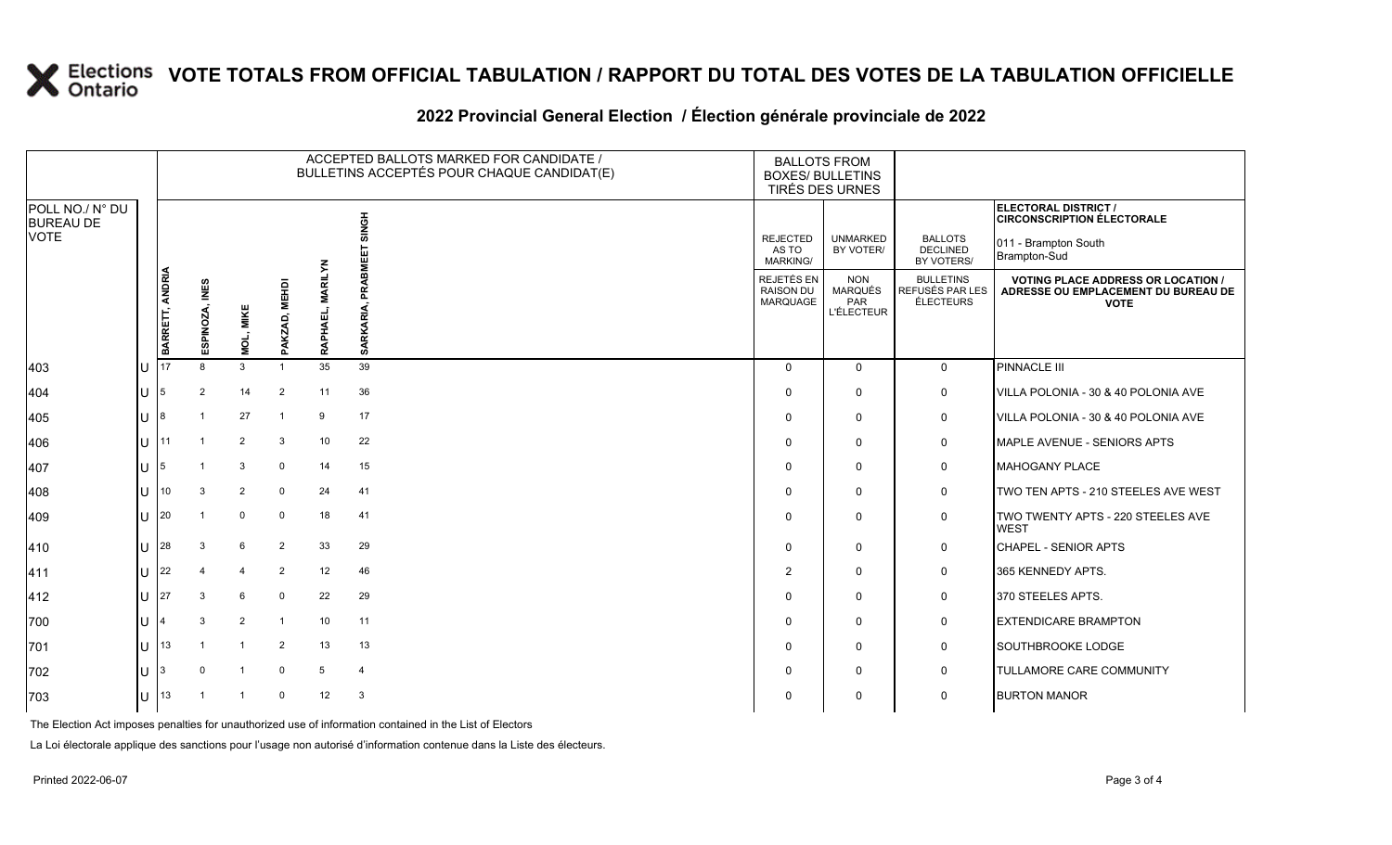# **X** Elections VOTE TOTALS FROM OFFICIAL TABULATION / RAPPORT DU TOTAL DES VOTES DE LA TABULATION OFFICIELLE

### **2022 Provincial General Election / Élection générale provinciale de 2022**

|                                             |                                                                           |                |                   |                                            |                                                   | ACCEPTED BALLOTS MARKED FOR CANDIDATE /<br>BULLETINS ACCEPTÉS POUR CHAQUE CANDIDAT(E) | <b>BALLOTS FROM</b><br><b>BOXES/ BULLETINS</b><br>TIRÉS DES URNES                               |                              |                                                 |                                                           |
|---------------------------------------------|---------------------------------------------------------------------------|----------------|-------------------|--------------------------------------------|---------------------------------------------------|---------------------------------------------------------------------------------------|-------------------------------------------------------------------------------------------------|------------------------------|-------------------------------------------------|-----------------------------------------------------------|
| POLL NO./ N° DU<br><b>BUREAU DE</b><br>VOTE |                                                                           |                |                   |                                            |                                                   | <b>HONIS</b>                                                                          |                                                                                                 |                              |                                                 | ELECTORAL DISTRICT /<br><b>CIRCONSCRIPTION ÉLECTORALE</b> |
|                                             |                                                                           |                |                   |                                            |                                                   | BMEE                                                                                  | <b>REJECTED</b><br>AS TO<br>MARKING/                                                            | <b>UNMARKED</b><br>BY VOTER/ | <b>BALLOTS</b><br><b>DECLINED</b><br>BY VOTERS/ | 011 - Brampton South<br>Brampton-Sud                      |
|                                             | BARRETT, ANDRIA<br>ESPINOZA, INES<br><b>MEHDI</b><br>MOL, MIKE<br>PAKZAD, | RAPHAEI        | PRAI<br>SARKARIA, | REJETÉS EN<br><b>RAISON DU</b><br>MARQUAGE | <b>NON</b><br><b>MARQUÉS</b><br>PAR<br>L'ÉLECTEUR | <b>BULLETINS</b><br>REFUSÉS PAR LES<br><b>ÉLECTEURS</b>                               | <b>VOTING PLACE ADDRESS OR LOCATION /</b><br>ADRESSE OU EMPLACEMENT DU BUREAU DE<br><b>VOTE</b> |                              |                                                 |                                                           |
| 403                                         | 17                                                                        | 8              | 3                 | -1                                         | 35                                                | 39                                                                                    | $\Omega$                                                                                        | $\mathbf 0$                  | $\mathbf 0$                                     | PINNACLE III                                              |
| 404                                         |                                                                           | 2              | 14                | $\overline{2}$                             | 11                                                | 36                                                                                    | $\Omega$                                                                                        | $\mathbf 0$                  | 0                                               | VILLA POLONIA - 30 & 40 POLONIA AVE                       |
| 405                                         |                                                                           |                | 27                | -1                                         | 9                                                 | 17                                                                                    | $\Omega$                                                                                        | $\mathbf 0$                  | 0                                               | VILLA POLONIA - 30 & 40 POLONIA AVE                       |
| 406                                         | 11                                                                        | $\overline{1}$ | 2                 | 3                                          | 10                                                | 22                                                                                    | $\Omega$                                                                                        | $\mathbf 0$                  | 0                                               | MAPLE AVENUE - SENIORS APTS                               |
| 407                                         |                                                                           |                | 3                 | $\overline{0}$                             | 14                                                | 15                                                                                    | $\Omega$                                                                                        | $\mathbf 0$                  | 0                                               | <b>MAHOGANY PLACE</b>                                     |
| 408                                         | 10                                                                        | 3              | 2                 | $\mathbf 0$                                | 24                                                | 41                                                                                    | $\Omega$                                                                                        | $\mathbf 0$                  | 0                                               | TWO TEN APTS - 210 STEELES AVE WEST                       |
| 409                                         | 20                                                                        |                | 0                 | $\overline{0}$                             | 18                                                | 41                                                                                    | $\Omega$                                                                                        | $\mathbf 0$                  | 0                                               | TWO TWENTY APTS - 220 STEELES AVE<br><b>WEST</b>          |
| 410                                         | 28                                                                        | 3              | 6                 | $\overline{2}$                             | 33                                                | 29                                                                                    | $\Omega$                                                                                        | $\mathbf 0$                  | 0                                               | CHAPEL - SENIOR APTS                                      |
| 411                                         | 22                                                                        |                | $\overline{4}$    | $\overline{2}$                             | 12                                                | 46                                                                                    | 2                                                                                               | $\Omega$                     | 0                                               | 365 KENNEDY APTS.                                         |
| 412                                         | 27                                                                        | 3              | 6                 | $\overline{0}$                             | 22                                                | 29                                                                                    | $\Omega$                                                                                        | $\mathbf 0$                  | 0                                               | 370 STEELES APTS.                                         |
| 700                                         |                                                                           | 3              | 2                 | $\overline{1}$                             | 10                                                | 11                                                                                    | $\Omega$                                                                                        | $\mathbf 0$                  | 0                                               | <b>EXTENDICARE BRAMPTON</b>                               |
| 701                                         | 13                                                                        |                |                   | $\overline{2}$                             | 13                                                | 13                                                                                    | $\Omega$                                                                                        | $\mathbf 0$                  | 0                                               | SOUTHBROOKE LODGE                                         |
| 702                                         |                                                                           |                | $\overline{1}$    | $\mathbf 0$                                | 5                                                 | $\overline{4}$                                                                        | $\Omega$                                                                                        | $\mathbf 0$                  | $\mathbf 0$                                     | TULLAMORE CARE COMMUNITY                                  |
| 703                                         | 13                                                                        |                |                   | $\overline{0}$                             | 12                                                | 3                                                                                     | $\Omega$                                                                                        | $\mathbf 0$                  | 0                                               | <b>BURTON MANOR</b>                                       |

The Election Act imposes penalties for unauthorized use of information contained in the List of Electors